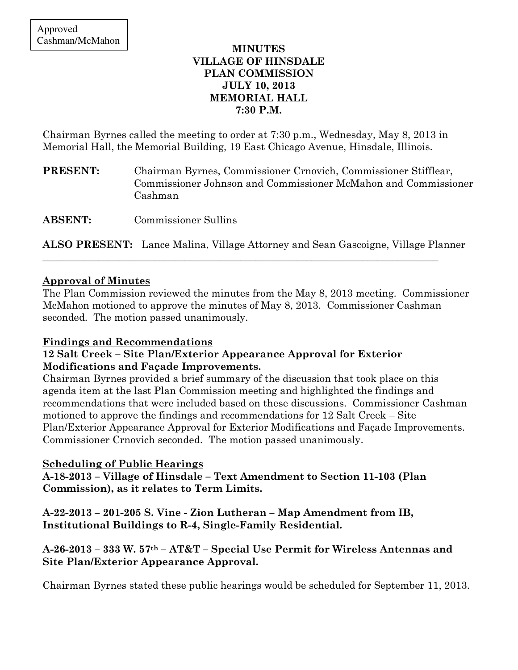### MINUTES VILLAGE OF HINSDALE PLAN COMMISSION JULY 10, 2013 MEMORIAL HALL 7:30 P.M.

Chairman Byrnes called the meeting to order at 7:30 p.m., Wednesday, May 8, 2013 in Memorial Hall, the Memorial Building, 19 East Chicago Avenue, Hinsdale, Illinois.

PRESENT: Chairman Byrnes, Commissioner Crnovich, Commissioner Stifflear, Commissioner Johnson and Commissioner McMahon and Commissioner Cashman

ABSENT: Commissioner Sullins

ALSO PRESENT: Lance Malina, Village Attorney and Sean Gascoigne, Village Planner

\_\_\_\_\_\_\_\_\_\_\_\_\_\_\_\_\_\_\_\_\_\_\_\_\_\_\_\_\_\_\_\_\_\_\_\_\_\_\_\_\_\_\_\_\_\_\_\_\_\_\_\_\_\_\_\_\_\_\_\_\_\_\_\_\_\_\_\_\_\_\_\_\_\_\_\_\_\_

## Approval of Minutes

The Plan Commission reviewed the minutes from the May 8, 2013 meeting. Commissioner McMahon motioned to approve the minutes of May 8, 2013. Commissioner Cashman seconded. The motion passed unanimously.

## Findings and Recommendations

#### 12 Salt Creek – Site Plan/Exterior Appearance Approval for Exterior Modifications and Façade Improvements.

Chairman Byrnes provided a brief summary of the discussion that took place on this agenda item at the last Plan Commission meeting and highlighted the findings and recommendations that were included based on these discussions. Commissioner Cashman motioned to approve the findings and recommendations for 12 Salt Creek – Site Plan/Exterior Appearance Approval for Exterior Modifications and Façade Improvements. Commissioner Crnovich seconded. The motion passed unanimously.

## Scheduling of Public Hearings

A-18-2013 – Village of Hinsdale – Text Amendment to Section 11-103 (Plan Commission), as it relates to Term Limits.

A-22-2013 – 201-205 S. Vine - Zion Lutheran – Map Amendment from IB, Institutional Buildings to R-4, Single-Family Residential.

## A-26-2013 – 333 W. 57th – AT&T – Special Use Permit for Wireless Antennas and Site Plan/Exterior Appearance Approval.

Chairman Byrnes stated these public hearings would be scheduled for September 11, 2013.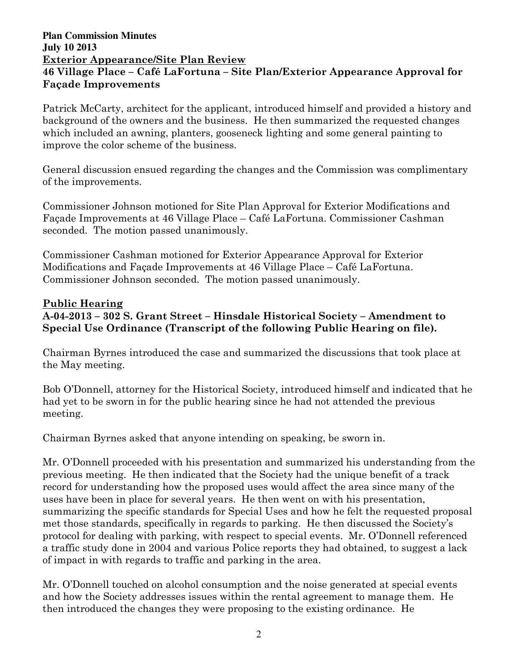## **Plan Commission Minutes July 10 2013**  Exterior Appearance/Site Plan Review 46 Village Place – Café LaFortuna – Site Plan/Exterior Appearance Approval for Façade Improvements

Patrick McCarty, architect for the applicant, introduced himself and provided a history and background of the owners and the business. He then summarized the requested changes which included an awning, planters, gooseneck lighting and some general painting to improve the color scheme of the business.

General discussion ensued regarding the changes and the Commission was complimentary of the improvements.

Commissioner Johnson motioned for Site Plan Approval for Exterior Modifications and Façade Improvements at 46 Village Place – Café LaFortuna. Commissioner Cashman seconded. The motion passed unanimously.

Commissioner Cashman motioned for Exterior Appearance Approval for Exterior Modifications and Façade Improvements at 46 Village Place – Café LaFortuna. Commissioner Johnson seconded. The motion passed unanimously.

## Public Hearing

# A-04-2013 – 302 S. Grant Street – Hinsdale Historical Society – Amendment to Special Use Ordinance (Transcript of the following Public Hearing on file).

Chairman Byrnes introduced the case and summarized the discussions that took place at the May meeting.

Bob O'Donnell, attorney for the Historical Society, introduced himself and indicated that he had yet to be sworn in for the public hearing since he had not attended the previous meeting.

Chairman Byrnes asked that anyone intending on speaking, be sworn in.

Mr. O'Donnell proceeded with his presentation and summarized his understanding from the previous meeting. He then indicated that the Society had the unique benefit of a track record for understanding how the proposed uses would affect the area since many of the uses have been in place for several years. He then went on with his presentation, summarizing the specific standards for Special Uses and how he felt the requested proposal met those standards, specifically in regards to parking. He then discussed the Society's protocol for dealing with parking, with respect to special events. Mr. O'Donnell referenced a traffic study done in 2004 and various Police reports they had obtained, to suggest a lack of impact in with regards to traffic and parking in the area.

Mr. O'Donnell touched on alcohol consumption and the noise generated at special events and how the Society addresses issues within the rental agreement to manage them. He then introduced the changes they were proposing to the existing ordinance. He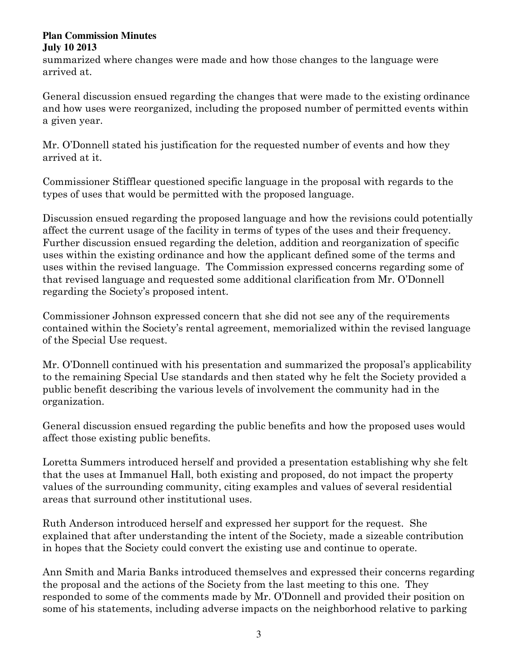summarized where changes were made and how those changes to the language were arrived at.

General discussion ensued regarding the changes that were made to the existing ordinance and how uses were reorganized, including the proposed number of permitted events within a given year.

Mr. O'Donnell stated his justification for the requested number of events and how they arrived at it.

Commissioner Stifflear questioned specific language in the proposal with regards to the types of uses that would be permitted with the proposed language.

Discussion ensued regarding the proposed language and how the revisions could potentially affect the current usage of the facility in terms of types of the uses and their frequency. Further discussion ensued regarding the deletion, addition and reorganization of specific uses within the existing ordinance and how the applicant defined some of the terms and uses within the revised language. The Commission expressed concerns regarding some of that revised language and requested some additional clarification from Mr. O'Donnell regarding the Society's proposed intent.

Commissioner Johnson expressed concern that she did not see any of the requirements contained within the Society's rental agreement, memorialized within the revised language of the Special Use request.

Mr. O'Donnell continued with his presentation and summarized the proposal's applicability to the remaining Special Use standards and then stated why he felt the Society provided a public benefit describing the various levels of involvement the community had in the organization.

General discussion ensued regarding the public benefits and how the proposed uses would affect those existing public benefits.

Loretta Summers introduced herself and provided a presentation establishing why she felt that the uses at Immanuel Hall, both existing and proposed, do not impact the property values of the surrounding community, citing examples and values of several residential areas that surround other institutional uses.

Ruth Anderson introduced herself and expressed her support for the request. She explained that after understanding the intent of the Society, made a sizeable contribution in hopes that the Society could convert the existing use and continue to operate.

Ann Smith and Maria Banks introduced themselves and expressed their concerns regarding the proposal and the actions of the Society from the last meeting to this one. They responded to some of the comments made by Mr. O'Donnell and provided their position on some of his statements, including adverse impacts on the neighborhood relative to parking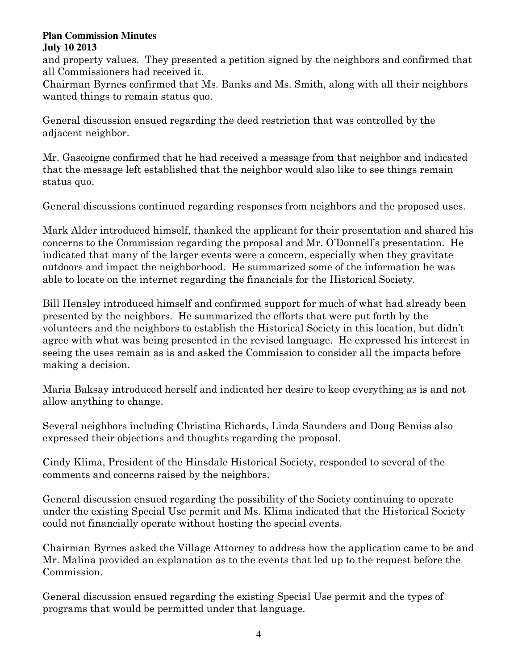and property values. They presented a petition signed by the neighbors and confirmed that all Commissioners had received it.

Chairman Byrnes confirmed that Ms. Banks and Ms. Smith, along with all their neighbors wanted things to remain status quo.

General discussion ensued regarding the deed restriction that was controlled by the adjacent neighbor.

Mr. Gascoigne confirmed that he had received a message from that neighbor and indicated that the message left established that the neighbor would also like to see things remain status quo.

General discussions continued regarding responses from neighbors and the proposed uses.

Mark Alder introduced himself, thanked the applicant for their presentation and shared his concerns to the Commission regarding the proposal and Mr. O'Donnell's presentation. He indicated that many of the larger events were a concern, especially when they gravitate outdoors and impact the neighborhood. He summarized some of the information he was able to locate on the internet regarding the financials for the Historical Society.

Bill Hensley introduced himself and confirmed support for much of what had already been presented by the neighbors. He summarized the efforts that were put forth by the volunteers and the neighbors to establish the Historical Society in this location, but didn't agree with what was being presented in the revised language. He expressed his interest in seeing the uses remain as is and asked the Commission to consider all the impacts before making a decision.

Maria Baksay introduced herself and indicated her desire to keep everything as is and not allow anything to change.

Several neighbors including Christina Richards, Linda Saunders and Doug Bemiss also expressed their objections and thoughts regarding the proposal.

Cindy Klima, President of the Hinsdale Historical Society, responded to several of the comments and concerns raised by the neighbors.

General discussion ensued regarding the possibility of the Society continuing to operate under the existing Special Use permit and Ms. Klima indicated that the Historical Society could not financially operate without hosting the special events.

Chairman Byrnes asked the Village Attorney to address how the application came to be and Mr. Malina provided an explanation as to the events that led up to the request before the Commission.

General discussion ensued regarding the existing Special Use permit and the types of programs that would be permitted under that language.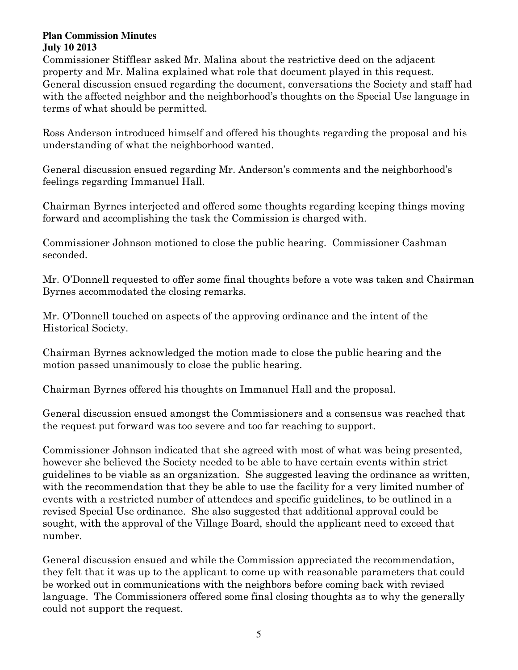Commissioner Stifflear asked Mr. Malina about the restrictive deed on the adjacent property and Mr. Malina explained what role that document played in this request. General discussion ensued regarding the document, conversations the Society and staff had with the affected neighbor and the neighborhood's thoughts on the Special Use language in terms of what should be permitted.

Ross Anderson introduced himself and offered his thoughts regarding the proposal and his understanding of what the neighborhood wanted.

General discussion ensued regarding Mr. Anderson's comments and the neighborhood's feelings regarding Immanuel Hall.

Chairman Byrnes interjected and offered some thoughts regarding keeping things moving forward and accomplishing the task the Commission is charged with.

Commissioner Johnson motioned to close the public hearing. Commissioner Cashman seconded.

Mr. O'Donnell requested to offer some final thoughts before a vote was taken and Chairman Byrnes accommodated the closing remarks.

Mr. O'Donnell touched on aspects of the approving ordinance and the intent of the Historical Society.

Chairman Byrnes acknowledged the motion made to close the public hearing and the motion passed unanimously to close the public hearing.

Chairman Byrnes offered his thoughts on Immanuel Hall and the proposal.

General discussion ensued amongst the Commissioners and a consensus was reached that the request put forward was too severe and too far reaching to support.

Commissioner Johnson indicated that she agreed with most of what was being presented, however she believed the Society needed to be able to have certain events within strict guidelines to be viable as an organization. She suggested leaving the ordinance as written, with the recommendation that they be able to use the facility for a very limited number of events with a restricted number of attendees and specific guidelines, to be outlined in a revised Special Use ordinance. She also suggested that additional approval could be sought, with the approval of the Village Board, should the applicant need to exceed that number.

General discussion ensued and while the Commission appreciated the recommendation, they felt that it was up to the applicant to come up with reasonable parameters that could be worked out in communications with the neighbors before coming back with revised language. The Commissioners offered some final closing thoughts as to why the generally could not support the request.